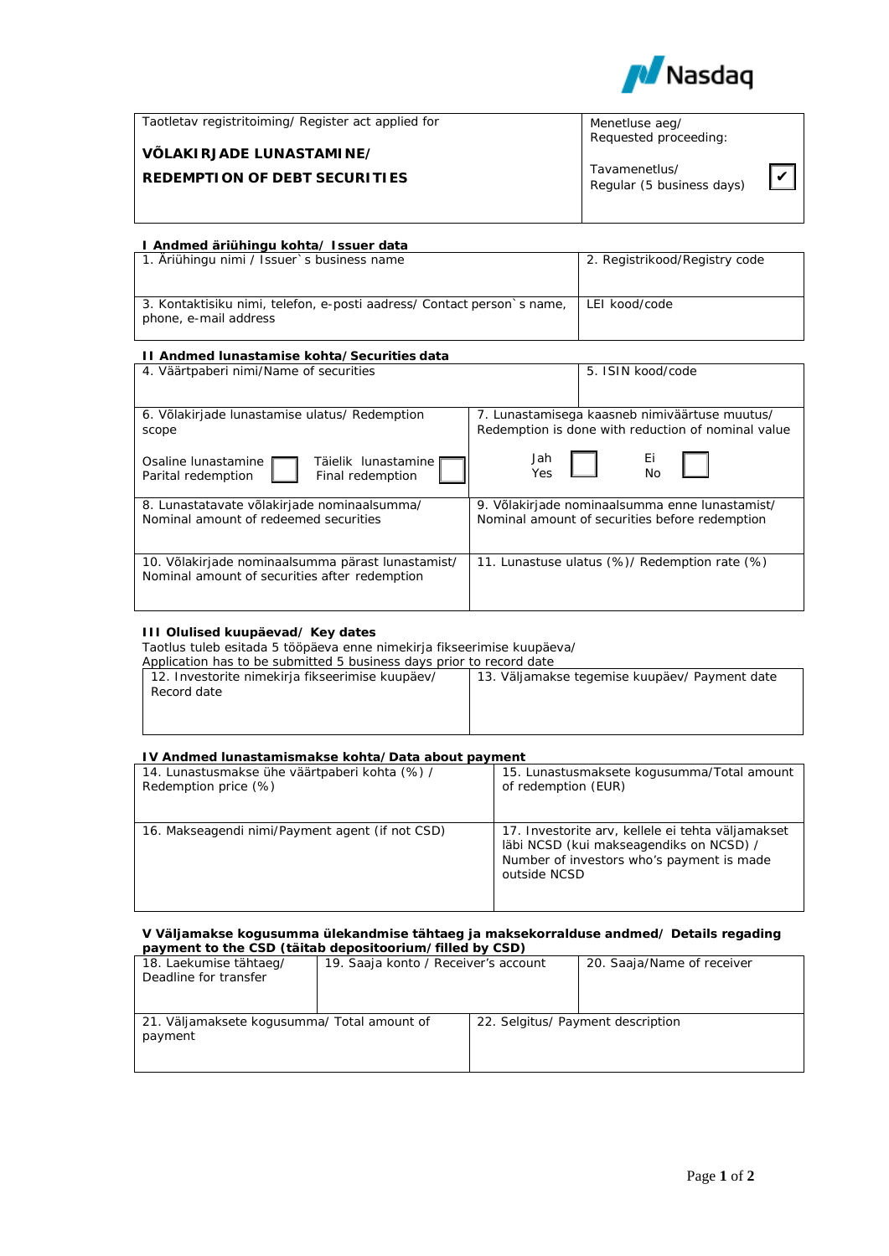

| Taotletav registritoiming/ Register act applied for | Menetluse aeg/<br>Requested proceeding:    |  |
|-----------------------------------------------------|--------------------------------------------|--|
| VÕLAKIRJADE LUNASTAMINE/                            |                                            |  |
| <b>REDEMPTION OF DEBT SECURITIES</b>                | Tavamenetlus/<br>Regular (5 business days) |  |
|                                                     |                                            |  |

# **I Andmed äriühingu kohta/ Issuer data**

| 1. Äriühingu nimi / Issuer's business name                                                      | 2. Registrikood/Registry code |
|-------------------------------------------------------------------------------------------------|-------------------------------|
| 3. Kontaktisiku nimi, telefon, e-posti aadress/ Contact person's name,<br>phone, e-mail address | LEI kood/code                 |

# **II Andmed lunastamise kohta/Securities data**

| 4. Väärtpaberi nimi/Name of securities                                                             | 5. ISIN kood/code                                  |  |
|----------------------------------------------------------------------------------------------------|----------------------------------------------------|--|
| 6. Võlakirjade lunastamise ulatus/ Redemption                                                      | 7. Lunastamisega kaasneb nimiväärtuse muutus/      |  |
| scope                                                                                              | Redemption is done with reduction of nominal value |  |
| Osaline lunastamine                                                                                | Jah                                                |  |
| Täielik lunastamine                                                                                | Ei.                                                |  |
| Final redemption                                                                                   | No                                                 |  |
| Parital redemption                                                                                 | Yes                                                |  |
| 8. Lunastatavate võlakirjade nominaalsumma/                                                        | 9. Võlakirjade nominaalsumma enne lunastamist/     |  |
| Nominal amount of redeemed securities                                                              | Nominal amount of securities before redemption     |  |
| 10. Võlakirjade nominaalsumma pärast lunastamist/<br>Nominal amount of securities after redemption | 11. Lunastuse ulatus (%)/ Redemption rate (%)      |  |

# **III Olulised kuupäevad/ Key dates**

Taotlus tuleb esitada 5 tööpäeva enne nimekirja fikseerimise kuupäeva/

Application has to be submitted 5 business days prior to record date

| 12. Investorite nimekirja fikseerimise kuupäev/ | 13. Väljamakse tegemise kuupäev/ Payment date |
|-------------------------------------------------|-----------------------------------------------|
|                                                 |                                               |
| Record date                                     |                                               |
|                                                 |                                               |
|                                                 |                                               |
|                                                 |                                               |
|                                                 |                                               |
|                                                 |                                               |

# **IV Andmed lunastamismakse kohta/Data about payment**

| 14. Lunastusmakse ühe väärtpaberi kohta (%) /   | 15. Lunastusmaksete kogusumma/Total amount                                                                                                                |
|-------------------------------------------------|-----------------------------------------------------------------------------------------------------------------------------------------------------------|
| Redemption price (%)                            | of redemption (EUR)                                                                                                                                       |
| 16. Makseagendi nimi/Payment agent (if not CSD) | 17. Investorite arv, kellele ei tehta väljamakset<br>läbi NCSD (kui makseagendiks on NCSD) /<br>Number of investors who's payment is made<br>outside NCSD |

#### **V Väljamakse kogusumma ülekandmise tähtaeg ja maksekorralduse andmed/ Details regading payment to the CSD (täitab depositoorium/filled by CSD)**

| 18. Laekumise tähtaeg/<br>Deadline for transfer        | 19. Saaja konto / Receiver's account | 20. Saaja/Name of receiver        |
|--------------------------------------------------------|--------------------------------------|-----------------------------------|
| 21. Väljamaksete kogusumma/ Total amount of<br>payment |                                      | 22. Selgitus/ Payment description |